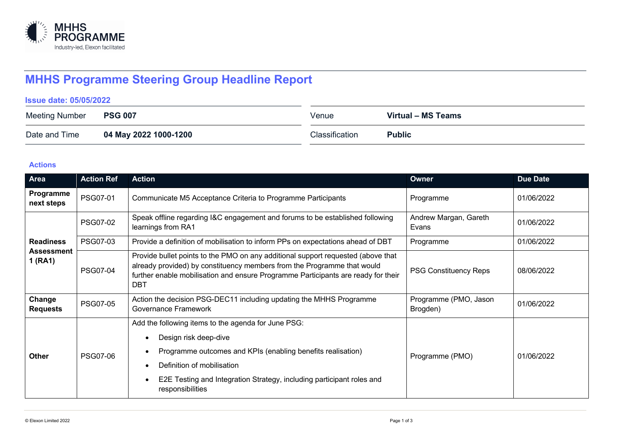

# **MHHS Programme Steering Group Headline Report**

**Issue date: 05/05/2022**

| Meeting Number | <b>PSG 007</b>        | Venue          | Virtual - MS Teams |
|----------------|-----------------------|----------------|--------------------|
| Date and Time  | 04 May 2022 1000-1200 | Classification | <b>Public</b>      |

## **Actions**

| Area                                             | <b>Action Ref</b> | <b>Action</b>                                                                                                                                                                                                                                                  | Owner                             | <b>Due Date</b> |
|--------------------------------------------------|-------------------|----------------------------------------------------------------------------------------------------------------------------------------------------------------------------------------------------------------------------------------------------------------|-----------------------------------|-----------------|
| Programme<br>next steps                          | PSG07-01          | Communicate M5 Acceptance Criteria to Programme Participants                                                                                                                                                                                                   | Programme                         | 01/06/2022      |
| <b>Readiness</b><br><b>Assessment</b><br>1 (RA1) | <b>PSG07-02</b>   | Speak offline regarding I&C engagement and forums to be established following<br>learnings from RA1                                                                                                                                                            | Andrew Margan, Gareth<br>Evans    | 01/06/2022      |
|                                                  | <b>PSG07-03</b>   | Provide a definition of mobilisation to inform PPs on expectations ahead of DBT                                                                                                                                                                                | Programme                         | 01/06/2022      |
|                                                  | <b>PSG07-04</b>   | Provide bullet points to the PMO on any additional support requested (above that<br>already provided) by constituency members from the Programme that would<br>further enable mobilisation and ensure Programme Participants are ready for their<br><b>DBT</b> | <b>PSG Constituency Reps</b>      | 08/06/2022      |
| Change<br><b>Requests</b>                        | PSG07-05          | Action the decision PSG-DEC11 including updating the MHHS Programme<br>Governance Framework                                                                                                                                                                    | Programme (PMO, Jason<br>Brogden) | 01/06/2022      |
| <b>Other</b>                                     | <b>PSG07-06</b>   | Add the following items to the agenda for June PSG:<br>Design risk deep-dive                                                                                                                                                                                   | Programme (PMO)                   | 01/06/2022      |
|                                                  |                   | Programme outcomes and KPIs (enabling benefits realisation)<br>Definition of mobilisation                                                                                                                                                                      |                                   |                 |
|                                                  |                   | E2E Testing and Integration Strategy, including participant roles and<br>responsibilities                                                                                                                                                                      |                                   |                 |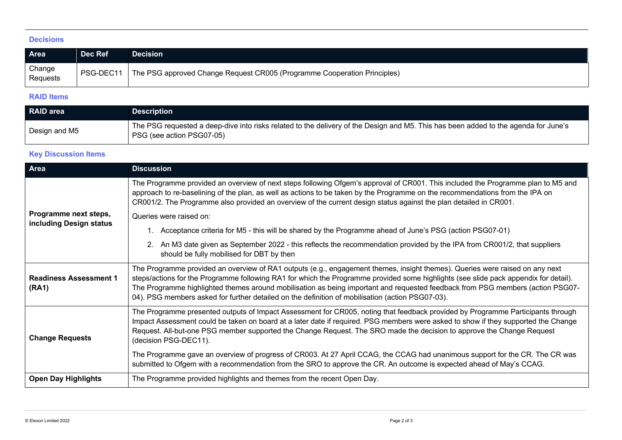#### **Decisions**

| <b>Area</b>        | Dec Ref | <b>Decision</b>                                                                      |
|--------------------|---------|--------------------------------------------------------------------------------------|
| Change<br>Requests |         | PSG-DEC11   The PSG approved Change Request CR005 (Programme Cooperation Principles) |

#### **RAID Items**

| RAID area     | <b>Description</b>                                                                                                                                               |
|---------------|------------------------------------------------------------------------------------------------------------------------------------------------------------------|
| Design and M5 | The PSG requested a deep-dive into risks related to the delivery of the Design and M5. This has been added to the agenda for June's<br>PSG (see action PSG07-05) |

### **Key Discussion Items**

| Area                                             | <b>Discussion</b>                                                                                                                                                                                                                                                                                                                                                                                                                                                                                          |  |
|--------------------------------------------------|------------------------------------------------------------------------------------------------------------------------------------------------------------------------------------------------------------------------------------------------------------------------------------------------------------------------------------------------------------------------------------------------------------------------------------------------------------------------------------------------------------|--|
|                                                  | The Programme provided an overview of next steps following Ofgem's approval of CR001. This included the Programme plan to M5 and<br>approach to re-baselining of the plan, as well as actions to be taken by the Programme on the recommendations from the IPA on<br>CR001/2. The Programme also provided an overview of the current design status against the plan detailed in CR001.                                                                                                                     |  |
| Programme next steps,<br>including Design status | Queries were raised on:                                                                                                                                                                                                                                                                                                                                                                                                                                                                                    |  |
|                                                  | Acceptance criteria for M5 - this will be shared by the Programme ahead of June's PSG (action PSG07-01)                                                                                                                                                                                                                                                                                                                                                                                                    |  |
|                                                  | 2. An M3 date given as September 2022 - this reflects the recommendation provided by the IPA from CR001/2, that suppliers<br>should be fully mobilised for DBT by then                                                                                                                                                                                                                                                                                                                                     |  |
| <b>Readiness Assessment 1</b><br>(RA1)           | The Programme provided an overview of RA1 outputs (e.g., engagement themes, insight themes). Queries were raised on any next<br>steps/actions for the Programme following RA1 for which the Programme provided some highlights (see slide pack appendix for detail).<br>The Programme highlighted themes around mobilisation as being important and requested feedback from PSG members (action PSG07-<br>04). PSG members asked for further detailed on the definition of mobilisation (action PSG07-03). |  |
| <b>Change Requests</b>                           | The Programme presented outputs of Impact Assessment for CR005, noting that feedback provided by Programme Participants through<br>Impact Assessment could be taken on board at a later date if required. PSG members were asked to show if they supported the Change<br>Request. All-but-one PSG member supported the Change Request. The SRO made the decision to approve the Change Request<br>(decision PSG-DEC11).                                                                                    |  |
|                                                  | The Programme gave an overview of progress of CR003. At 27 April CCAG, the CCAG had unanimous support for the CR. The CR was<br>submitted to Ofgem with a recommendation from the SRO to approve the CR. An outcome is expected ahead of May's CCAG.                                                                                                                                                                                                                                                       |  |
| <b>Open Day Highlights</b>                       | The Programme provided highlights and themes from the recent Open Day.                                                                                                                                                                                                                                                                                                                                                                                                                                     |  |